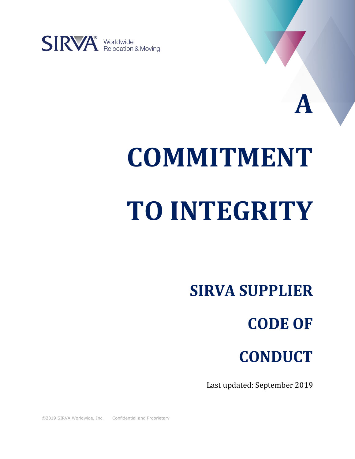

# **COMMITMENT TO INTEGRITY**

**SIRVA SUPPLIER**

**CODE OF**

**A**

# **CONDUCT**

Last updated: September 2019

©2019 SIRVA Worldwide, Inc. Confidential and Proprietary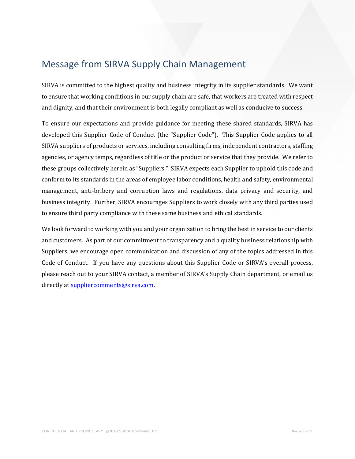# Message from SIRVA Supply Chain Management

SIRVA is committed to the highest quality and business integrity in its supplier standards. We want to ensure that working conditions in our supply chain are safe, that workers are treated with respect and dignity, and that their environment is both legally compliant as well as conducive to success.

To ensure our expectations and provide guidance for meeting these shared standards, SIRVA has developed this Supplier Code of Conduct (the "Supplier Code"). This Supplier Code applies to all SIRVA suppliers of products or services, including consulting firms, independent contractors, staffing agencies, or agency temps, regardless of title or the product or service that they provide. We refer to these groups collectively herein as "Suppliers." SIRVA expects each Supplier to uphold this code and conform to its standards in the areas of employee labor conditions, health and safety, environmental management, anti-bribery and corruption laws and regulations, data privacy and security, and business integrity. Further, SIRVA encourages Suppliers to work closely with any third parties used to ensure third party compliance with these same business and ethical standards.

We look forward to working with you and your organization to bring the best in service to our clients and customers. As part of our commitment to transparency and a quality business relationship with Suppliers, we encourage open communication and discussion of any of the topics addressed in this Code of Conduct. If you have any questions about this Supplier Code or SIRVA's overall process, please reach out to your SIRVA contact, a member of SIRVA's Supply Chain department, or email us directly at [suppliercomments@sirva.com.](mailto:suppliercomments@sirva.com)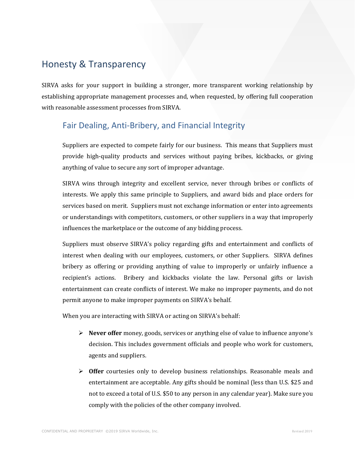# Honesty & Transparency

SIRVA asks for your support in building a stronger, more transparent working relationship by establishing appropriate management processes and, when requested, by offering full cooperation with reasonable assessment processes from SIRVA.

### Fair Dealing, Anti-Bribery, and Financial Integrity

Suppliers are expected to compete fairly for our business. This means that Suppliers must provide high-quality products and services without paying bribes, kickbacks, or giving anything of value to secure any sort of improper advantage.

SIRVA wins through integrity and excellent service, never through bribes or conflicts of interests. We apply this same principle to Suppliers, and award bids and place orders for services based on merit. Suppliers must not exchange information or enter into agreements or understandings with competitors, customers, or other suppliers in a way that improperly influences the marketplace or the outcome of any bidding process.

Suppliers must observe SIRVA's policy regarding gifts and entertainment and conflicts of interest when dealing with our employees, customers, or other Suppliers. SIRVA defines bribery as offering or providing anything of value to improperly or unfairly influence a recipient's actions. Bribery and kickbacks violate the law. Personal gifts or lavish entertainment can create conflicts of interest. We make no improper payments, and do not permit anyone to make improper payments on SIRVA's behalf.

When you are interacting with SIRVA or acting on SIRVA's behalf:

- **Never offer** money, goods, services or anything else of value to influence anyone's decision. This includes government officials and people who work for customers, agents and suppliers.
- **Offer** courtesies only to develop business relationships. Reasonable meals and entertainment are acceptable. Any gifts should be nominal (less than U.S. \$25 and not to exceed a total of U.S. \$50 to any person in any calendar year). Make sure you comply with the policies of the other company involved.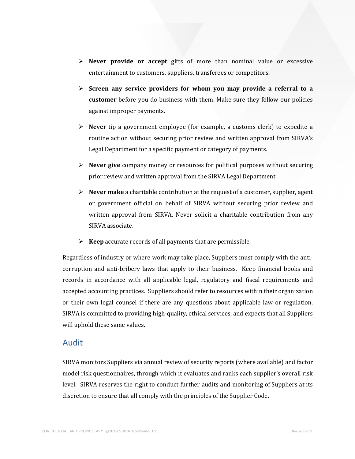- **Never provide or accept** gifts of more than nominal value or excessive entertainment to customers, suppliers, transferees or competitors.
- **Screen any service providers for whom you may provide a referral to a customer** before you do business with them. Make sure they follow our policies against improper payments.
- **Never** tip a government employee (for example, a customs clerk) to expedite a routine action without securing prior review and written approval from SIRVA's Legal Department for a specific payment or category of payments.
- **Never give** company money or resources for political purposes without securing prior review and written approval from the SIRVA Legal Department.
- **Never make** a charitable contribution at the request of a customer, supplier, agent or government official on behalf of SIRVA without securing prior review and written approval from SIRVA. Never solicit a charitable contribution from any SIRVA associate.
- **Keep** accurate records of all payments that are permissible.

Regardless of industry or where work may take place, Suppliers must comply with the anticorruption and anti-bribery laws that apply to their business. Keep financial books and records in accordance with all applicable legal, regulatory and fiscal requirements and accepted accounting practices. Suppliers should refer to resources within their organization or their own legal counsel if there are any questions about applicable law or regulation. SIRVA is committed to providing high-quality, ethical services, and expects that all Suppliers will uphold these same values.

#### Audit

SIRVA monitors Suppliers via annual review of security reports (where available) and factor model risk questionnaires, through which it evaluates and ranks each supplier's overall risk level. SIRVA reserves the right to conduct further audits and monitoring of Suppliers at its discretion to ensure that all comply with the principles of the Supplier Code.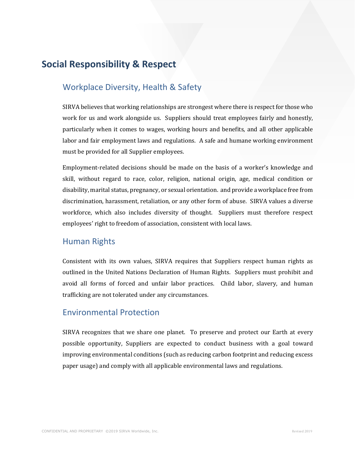# **Social Responsibility & Respect**

## Workplace Diversity, Health & Safety

SIRVA believes that working relationships are strongest where there is respect for those who work for us and work alongside us. Suppliers should treat employees fairly and honestly, particularly when it comes to wages, working hours and benefits, and all other applicable labor and fair employment laws and regulations. A safe and humane working environment must be provided for all Supplier employees.

Employment-related decisions should be made on the basis of a worker's knowledge and skill, without regard to race, color, religion, national origin, age, medical condition or disability, marital status, pregnancy, or sexual orientation. and provide a workplace free from discrimination, harassment, retaliation, or any other form of abuse. SIRVA values a diverse workforce, which also includes diversity of thought. Suppliers must therefore respect employees' right to freedom of association, consistent with local laws.

#### Human Rights

Consistent with its own values, SIRVA requires that Suppliers respect human rights as outlined in the United Nations Declaration of Human Rights. Suppliers must prohibit and avoid all forms of forced and unfair labor practices. Child labor, slavery, and human trafficking are not tolerated under any circumstances.

#### Environmental Protection

SIRVA recognizes that we share one planet. To preserve and protect our Earth at every possible opportunity, Suppliers are expected to conduct business with a goal toward improving environmental conditions (such as reducing carbon footprint and reducing excess paper usage) and comply with all applicable environmental laws and regulations.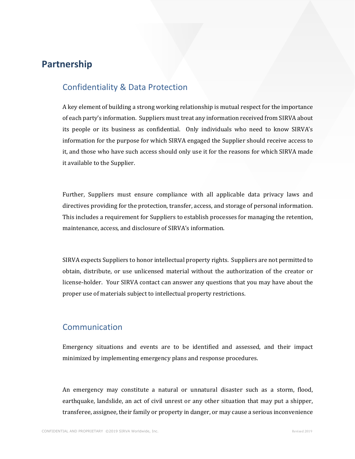# **Partnership**

#### Confidentiality & Data Protection

A key element of building a strong working relationship is mutual respect for the importance of each party's information. Suppliers must treat any information received from SIRVA about its people or its business as confidential. Only individuals who need to know SIRVA's information for the purpose for which SIRVA engaged the Supplier should receive access to it, and those who have such access should only use it for the reasons for which SIRVA made it available to the Supplier.

Further, Suppliers must ensure compliance with all applicable data privacy laws and directives providing for the protection, transfer, access, and storage of personal information. This includes a requirement for Suppliers to establish processes for managing the retention, maintenance, access, and disclosure of SIRVA's information.

SIRVA expects Suppliers to honor intellectual property rights. Suppliers are not permitted to obtain, distribute, or use unlicensed material without the authorization of the creator or license-holder. Your SIRVA contact can answer any questions that you may have about the proper use of materials subject to intellectual property restrictions.

#### Communication

Emergency situations and events are to be identified and assessed, and their impact minimized by implementing emergency plans and response procedures.

An emergency may constitute a natural or unnatural disaster such as a storm, flood, earthquake, landslide, an act of civil unrest or any other situation that may put a shipper, transferee, assignee, their family or property in danger, or may cause a serious inconvenience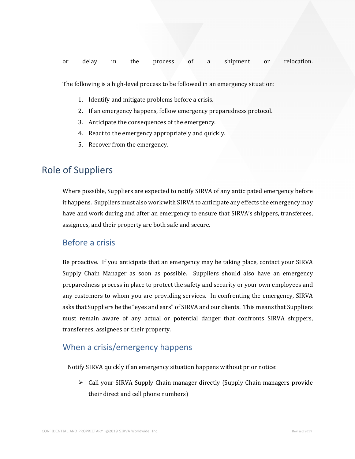The following is a high-level process to be followed in an emergency situation:

- 1. Identify and mitigate problems before a crisis.
- 2. If an emergency happens, follow emergency preparedness protocol.
- 3. Anticipate the consequences of the emergency.
- 4. React to the emergency appropriately and quickly.
- 5. Recover from the emergency.

# Role of Suppliers

Where possible, Suppliers are expected to notify SIRVA of any anticipated emergency before it happens. Suppliers must also work with SIRVA to anticipate any effects the emergency may have and work during and after an emergency to ensure that SIRVA's shippers, transferees, assignees, and their property are both safe and secure.

#### Before a crisis

Be proactive. If you anticipate that an emergency may be taking place, contact your SIRVA Supply Chain Manager as soon as possible. Suppliers should also have an emergency preparedness process in place to protect the safety and security or your own employees and any customers to whom you are providing services. In confronting the emergency, SIRVA asks that Suppliers be the "eyes and ears" of SIRVA and our clients. This means that Suppliers must remain aware of any actual or potential danger that confronts SIRVA shippers, transferees, assignees or their property.

#### When a crisis/emergency happens

Notify SIRVA quickly if an emergency situation happens without prior notice:

 $\triangleright$  Call your SIRVA Supply Chain manager directly (Supply Chain managers provide their direct and cell phone numbers)